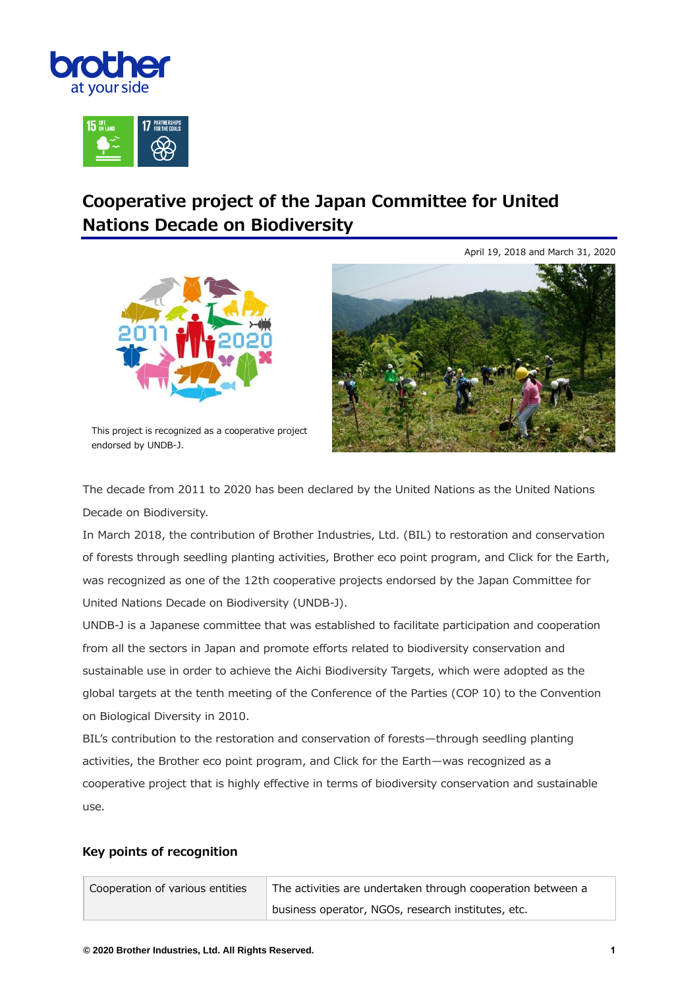



## **Cooperative project of the Japan Committee for United Nations Decade on Biodiversity**





This project is recognized as a cooperative project endorsed by UNDB-J.

The decade from 2011 to 2020 has been declared by the United Nations as the United Nations Decade on Biodiversity.

In March 2018, the contribution of Brother Industries, Ltd. (BIL) to restoration and conservation of forests through seedling planting activities, Brother eco point program, and Click for the Earth, was recognized as one of the 12th cooperative projects endorsed by the Japan Committee for United Nations Decade on Biodiversity (UNDB-J).

UNDB-J is a Japanese committee that was established to facilitate participation and cooperation from all the sectors in Japan and promote efforts related to biodiversity conservation and sustainable use in order to achieve the Aichi Biodiversity Targets, which were adopted as the global targets at the tenth meeting of the Conference of the Parties (COP 10) to the Convention on Biological Diversity in 2010.

BIL's contribution to the restoration and conservation of forests—through seedling planting activities, the Brother eco point program, and Click for the Earth—was recognized as a cooperative project that is highly effective in terms of biodiversity conservation and sustainable use.

## **Key points of recognition**

| Cooperation of various entities | The activities are undertaken through cooperation between a |
|---------------------------------|-------------------------------------------------------------|
|                                 | business operator, NGOs, research institutes, etc.          |